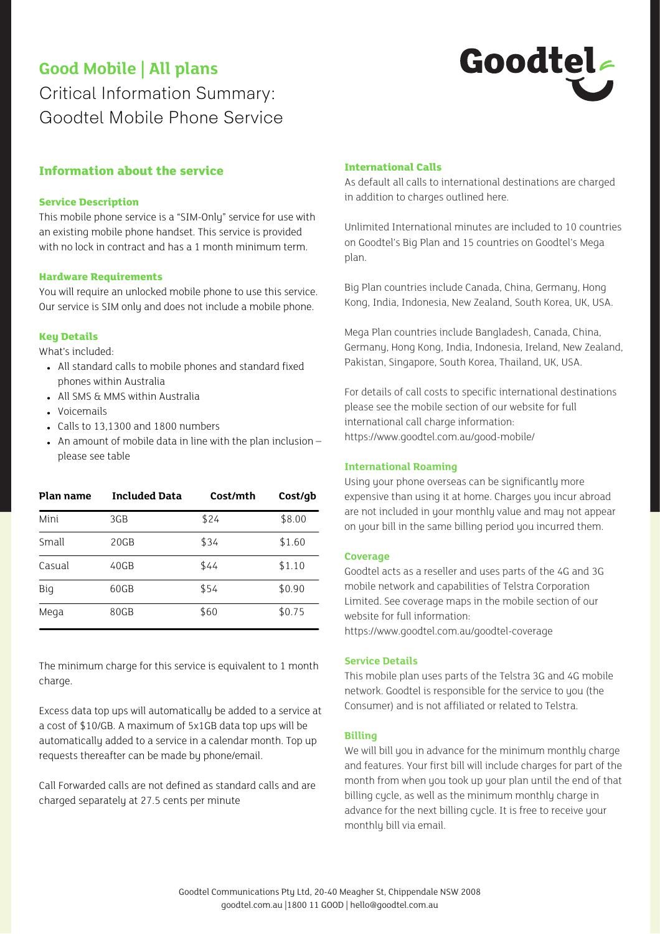# **Good Mobile | All plans**

Critical Information Summary: Goodtel Mobile Phone Service

# Goodtel

# **Information about the service**

# **Service Description**

This mobile phone service is a "SIM-Only" service for use with an existing mobile phone handset. This service is provided with no lock in contract and has a 1 month minimum term.

### **Hardware Requirements**

You will require an unlocked mobile phone to use this service. Our service is SIM only and does not include a mobile phone.

# **Key Details**

What's included:

- All standard calls to mobile phones and standard fixed phones within Australia
- All SMS & MMS within Australia
- Voicemails
- Calls to 13,1300 and 1800 numbers
- $\bullet$  An amount of mobile data in line with the plan inclusion  $$ please see table

| Plan name | <b>Included Data</b> | Cost/mth | Cost/qb |
|-----------|----------------------|----------|---------|
| Mini      | 3GB                  | \$24     | \$8.00  |
| Small     | 20GB                 | \$34     | \$1.60  |
| Casual    | 40GB                 | \$44     | \$1.10  |
| Big       | 60GB                 | \$54     | \$0.90  |
| Mega      | 80GB                 | \$60     | \$0.75  |

The minimum charge for this service is equivalent to 1 month charge.

Excess data top ups will automatically be added to a service at a cost of \$10/GB. A maximum of 5x1GB data top ups will be automatically added to a service in a calendar month. Top up requests thereafter can be made by phone/email.

Call Forwarded calls are not defined as standard calls and are charged separately at 27.5 cents per minute

# **International Calls**

As default all calls to international destinations are charged in addition to charges outlined here.

Unlimited International minutes are included to 10 countries on Goodtel's Big Plan and 15 countries on Goodtel's Mega plan.

Big Plan countries include Canada, China, Germany, Hong Kong, India, Indonesia, New Zealand, South Korea, UK, USA.

Mega Plan countries include Bangladesh, Canada, China, Germany, Hong Kong, India, Indonesia, Ireland, New Zealand, Pakistan, Singapore, South Korea, Thailand, UK, USA.

For details of call costs to specific international destinations please see the mobile section of our website for full international call charge information: https://www.goodtel.com.au/good-mobile/

# **International Roaming**

Using your phone overseas can be significantly more expensive than using it at home. Charges you incur abroad are not included in your monthly value and may not appear on your bill in the same billing period you incurred them.

### **Coverage**

Goodtel acts as a reseller and uses parts of the 4G and 3G mobile network and capabilities of Telstra Corporation Limited. See coverage maps in the mobile section of our website for full information:

https://www.goodtel.com.au/goodtel-coverage

# **Service Details**

This mobile plan uses parts of the Telstra 3G and 4G mobile network. Goodtel is responsible for the service to you (the Consumer) and is not affiliated or related to Telstra.

### **Billing**

We will bill you in advance for the minimum monthly charge and features. Your first bill will include charges for part of the month from when you took up your plan until the end of that billing cycle, as well as the minimum monthly charge in advance for the next billing cycle. It is free to receive your monthly bill via email.